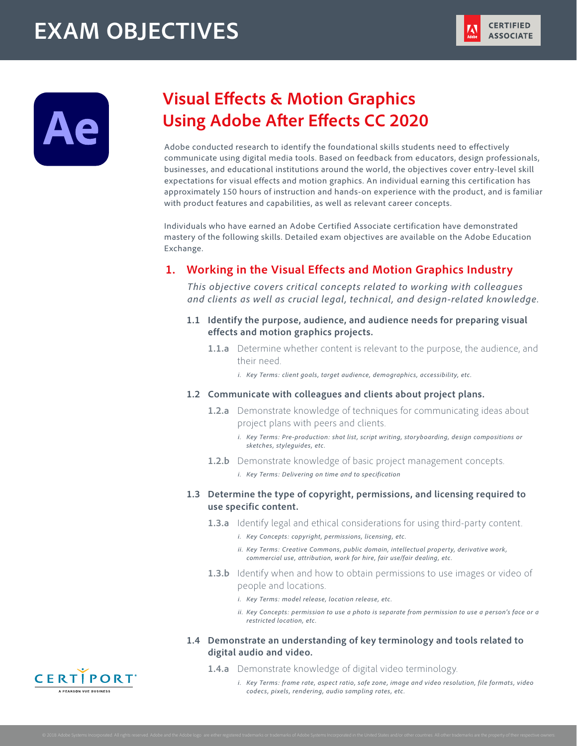# **EXAM OBJECTIVES**



## **Visual Effects & Motion Graphics Using Adobe After Effects CC 2020**

Adobe conducted research to identify the foundational skills students need to effectively communicate using digital media tools. Based on feedback from educators, design professionals, businesses, and educational institutions around the world, the objectives cover entry-level skill expectations for visual effects and motion graphics. An individual earning this certification has approximately 150 hours of instruction and hands-on experience with the product, and is familiar with product features and capabilities, as well as relevant career concepts.

Individuals who have earned an Adobe Certified Associate certification have demonstrated mastery of the following skills. Detailed exam objectives are available on the Adobe Education Exchange.

## **1. Working in the Visual Effects and Motion Graphics Industry**

*This objective covers critical concepts related to working with colleagues and clients as well as crucial legal, technical, and design-related knowledge.*

- **1.1 Identify the purpose, audience, and audience needs for preparing visual effects and motion graphics projects.**
	- **1.1.a** Determine whether content is relevant to the purpose, the audience, and their need.
		- *i. Key Terms: client goals, target audience, demographics, accessibility, etc.*
- **1.2 Communicate with colleagues and clients about project plans.**
	- **1.2.a** Demonstrate knowledge of techniques for communicating ideas about project plans with peers and clients.
		- *i. Key Terms: Pre-production: shot list, script writing, storyboarding, design compositions or sketches, styleguides, etc.*
	- **1.2.b** Demonstrate knowledge of basic project management concepts.

*i. Key Terms: Delivering on time and to specification*

## **1.3 Determine the type of copyright, permissions, and licensing required to use specific content.**

- **1.3.a** Identify legal and ethical considerations for using third-party content.
	- *i. Key Concepts: copyright, permissions, licensing, etc.*
	- *ii. Key Terms: Creative Commons, public domain, intellectual property, derivative work, commercial use, attribution, work for hire, fair use/fair dealing, etc.*
- **1.3.b** Identify when and how to obtain permissions to use images or video of people and locations.
	- *i. Key Terms: model release, location release, etc.*
	- *ii. Key Concepts: permission to use a photo is separate from permission to use a person's face or a restricted location, etc.*
- **1.4 Demonstrate an understanding of key terminology and tools related to digital audio and video.**
	- **1.4.a** Demonstrate knowledge of digital video terminology.
		- *i. Key Terms: frame rate, aspect ratio, safe zone, image and video resolution, file formats, video codecs, pixels, rendering, audio sampling rates, etc.*

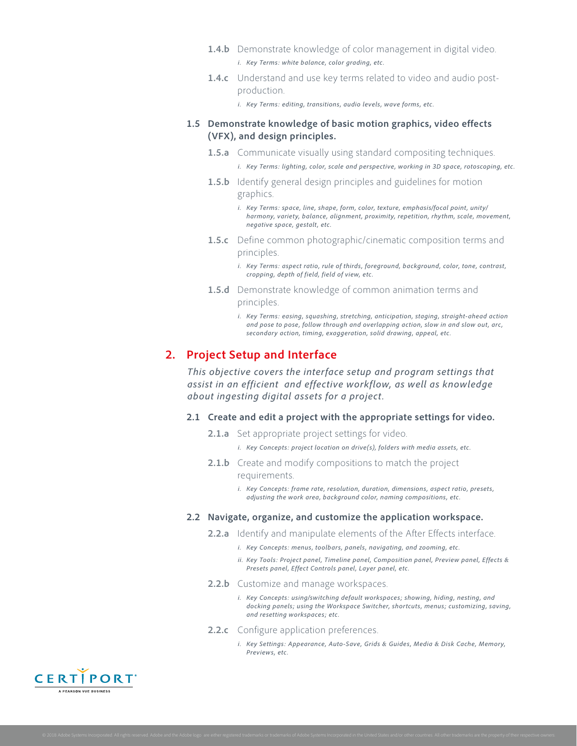- **1.4.b** Demonstrate knowledge of color management in digital video. *i. Key Terms: white balance, color grading, etc.*
- **1.4.c** Understand and use key terms related to video and audio postproduction.

*i. Key Terms: editing, transitions, audio levels, wave forms, etc.*

#### **1.5 Demonstrate knowledge of basic motion graphics, video effects (VFX), and design principles.**

- **1.5.a** Communicate visually using standard compositing techniques. *i. Key Terms: lighting, color, scale and perspective, working in 3D space, rotoscoping, etc.*
- **1.5.b** Identify general design principles and guidelines for motion graphics.
	- *i. Key Terms: space, line, shape, form, color, texture, emphasis/focal point, unity/ harmony, variety, balance, alignment, proximity, repetition, rhythm, scale, movement, negative space, gestalt, etc.*
- **1.5.c** Define common photographic/cinematic composition terms and principles.
	- *i. Key Terms: aspect ratio, rule of thirds, foreground, background, color, tone, contrast, cropping, depth of field, field of view, etc.*
- **1.5.d** Demonstrate knowledge of common animation terms and principles.
	- *i. Key Terms: easing, squashing, stretching, anticipation, staging, straight-ahead action and pose to pose, follow through and overlapping action, slow in and slow out, arc, secondary action, timing, exaggeration, solid drawing, appeal, etc.*

## **2. Project Setup and Interface**

*This objective covers the interface setup and program settings that assist in an efficient and effective workflow, as well as knowledge about ingesting digital assets for a project.*

#### **2.1 Create and edit a project with the appropriate settings for video.**

- **2.1.a** Set appropriate project settings for video.
	- *i. Key Concepts: project location on drive(s), folders with media assets, etc.*
- **2.1.b** Create and modify compositions to match the project requirements.
	- *i. Key Concepts: frame rate, resolution, duration, dimensions, aspect ratio, presets, adjusting the work area, background color, naming compositions, etc.*

#### **2.2 Navigate, organize, and customize the application workspace.**

- **2.2.a** Identify and manipulate elements of the After Effects interface.
	- *i. Key Concepts: menus, toolbars, panels, navigating, and zooming, etc.*
	- *ii. Key Tools: Project panel, Timeline panel, Composition panel, Preview panel, Effects & Presets panel, Effect Controls panel, Layer panel, etc.*
- 2.2.b Customize and manage workspaces.
	- *i. Key Concepts: using/switching default workspaces; showing, hiding, nesting, and docking panels; using the Workspace Switcher, shortcuts, menus; customizing, saving, and resetting workspaces; etc.*

#### **2.2.c** Configure application preferences.

*i. Key Settings: Appearance, Auto-Save, Grids & Guides, Media & Disk Cache, Memory, Previews, etc.*

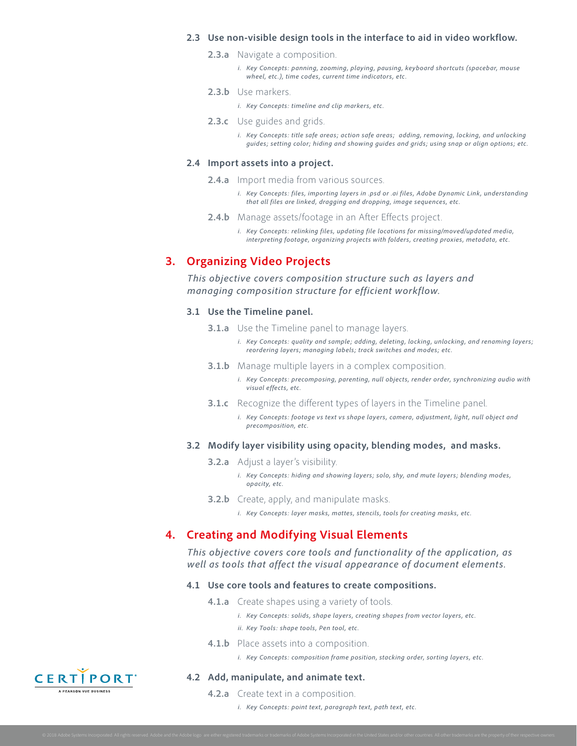#### **2.3 Use non-visible design tools in the interface to aid in video workflow.**

- **2.3.a** Navigate a composition.
	- *i. Key Concepts: panning, zooming, playing, pausing, keyboard shortcuts (spacebar, mouse wheel, etc.), time codes, current time indicators, etc.*

#### **2.3.b** Use markers.

*i. Key Concepts: timeline and clip markers, etc.*

**2.3.c** Use guides and grids.

*i. Key Concepts: title safe areas; action safe areas; adding, removing, locking, and unlocking guides; setting color; hiding and showing guides and grids; using snap or align options; etc.*

#### **2.4 Import assets into a project.**

**2.4.a** Import media from various sources.

- *i. Key Concepts: files, importing layers in .psd or .ai files, Adobe Dynamic Link, understanding that all files are linked, dragging and dropping, image sequences, etc.*
- **2.4.b** Manage assets/footage in an After Effects project.

*i. Key Concepts: relinking files, updating file locations for missing/moved/updated media, interpreting footage, organizing projects with folders, creating proxies, metadata, etc.*

## **3. Organizing Video Projects**

*This objective covers composition structure such as layers and managing composition structure for efficient workflow.*

#### **3.1 Use the Timeline panel.**

- **3.1.a** Use the Timeline panel to manage layers.
	- *i. Key Concepts: quality and sample; adding, deleting, locking, unlocking, and renaming layers; reordering layers; managing labels; track switches and modes; etc.*
- **3.1.b** Manage multiple layers in a complex composition.
	- *i. Key Concepts: precomposing, parenting, null objects, render order, synchronizing audio with visual effects, etc.*
- **3.1.c** Recognize the different types of layers in the Timeline panel.
	- *i. Key Concepts: footage vs text vs shape layers, camera, adjustment, light, null object and precomposition, etc.*

#### **3.2 Modify layer visibility using opacity, blending modes, and masks.**

- **3.2.a** Adjust a layer's visibility.
	- *i. Key Concepts: hiding and showing layers; solo, shy, and mute layers; blending modes, opacity, etc.*
- **3.2.b** Create, apply, and manipulate masks.
	- *i. Key Concepts: layer masks, mattes, stencils, tools for creating masks, etc.*

## **4. Creating and Modifying Visual Elements**

*This objective covers core tools and functionality of the application, as well as tools that affect the visual appearance of document elements.*

#### **4.1 Use core tools and features to create compositions.**

- **4.1.a** Create shapes using a variety of tools.
	- *i. Key Concepts: solids, shape layers, creating shapes from vector layers, etc.*
	- *ii. Key Tools: shape tools, Pen tool, etc.*
- **4.1.b** Place assets into a composition.
	- *i. Key Concepts: composition frame position, stacking order, sorting layers, etc.*

#### **4.2 Add, manipulate, and animate text.**

**4.2.a** Create text in a composition.

*i. Key Concepts: point text, paragraph text, path text, etc.*

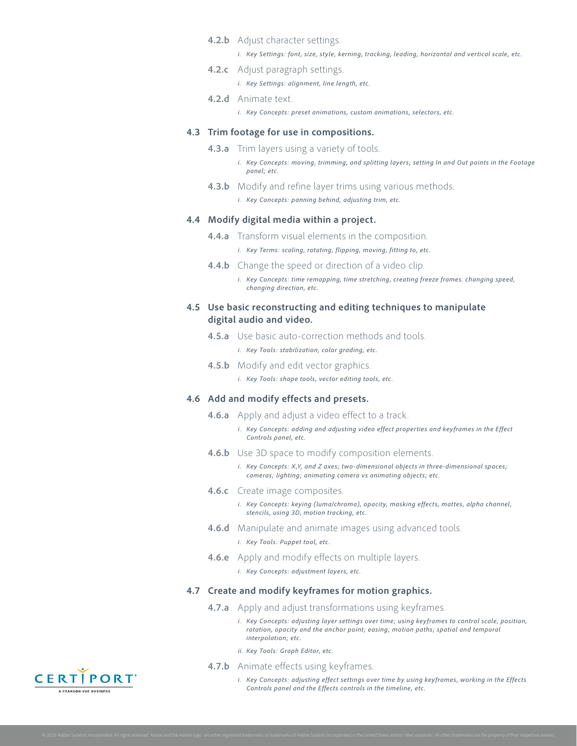#### **4.2.b** Adjust character settings.

*i. Key Settings: font, size, style, kerning, tracking, leading, horizontal and vertical scale, etc.*

**4.2.c** Adjust paragraph settings.

*i. Key Settings: alignment, line length, etc.*

**4.2.d** Animate text.

*i. Key Concepts: preset animations, custom animations, selectors, etc.*

#### **4.3 Trim footage for use in compositions.**

- **4.3.a** Trim layers using a variety of tools.
	- *i. Key Concepts: moving, trimming, and splitting layers; setting In and Out points in the Footage panel; etc.*
- **4.3.b** Modify and refine layer trims using various methods.
	- *i. Key Concepts: panning behind, adjusting trim, etc.*

#### **4.4 Modify digital media within a project.**

- **4.4.a** Transform visual elements in the composition.
	- *i. Key Terms: scaling, rotating, flipping, moving, fitting to, etc.*
- **4.4.b** Change the speed or direction of a video clip.
	- *i. Key Concepts: time remapping, time stretching, creating freeze frames. changing speed, changing direction, etc.*

#### **4.5 Use basic reconstructing and editing techniques to manipulate digital audio and video.**

- **4.5.a** Use basic auto-correction methods and tools.
	- *i. Key Tools: stabilization, color grading, etc.*
- **4.5.b** Modify and edit vector graphics.

*i. Key Tools: shape tools, vector editing tools, etc.*

#### **4.6 Add and modify effects and presets.**

- **4.6.a** Apply and adjust a video effect to a track.
	- *i. Key Concepts: adding and adjusting video effect properties and keyframes in the Effect Controls panel, etc.*
- **4.6.b** Use 3D space to modify composition elements.
	- *i. Key Concepts: X,Y, and Z axes; two-dimensional objects in three-dimensional spaces; cameras; lighting; animating camera vs animating objects; etc.*
- **4.6.c** Create image composites.
	- *i. Key Concepts: keying (luma/chroma), opacity, masking effects, mattes, alpha channel, stencils, using 3D, motion tracking, etc.*
- **4.6.d** Manipulate and animate images using advanced tools.
	- *i. Key Tools: Puppet tool, etc.*
- **4.6.e** Apply and modify effects on multiple layers.
	- *i. Key Concepts: adjustment layers, etc.*

#### **4.7 Create and modify keyframes for motion graphics.**

- **4.7.a** Apply and adjust transformations using keyframes.
	- *i. Key Concepts: adjusting layer settings over time; using keyframes to control scale, position, rotation, opacity and the anchor point; easing; motion paths; spatial and temporal interpolation; etc.*
	- *ii. Key Tools: Graph Editor, etc.*
- **4.7.b** Animate effects using keyframes.
	- *i. Key Concepts: adjusting effect settings over time by using keyframes, working in the Effects Controls panel and the Effects controls in the timeline, etc.*